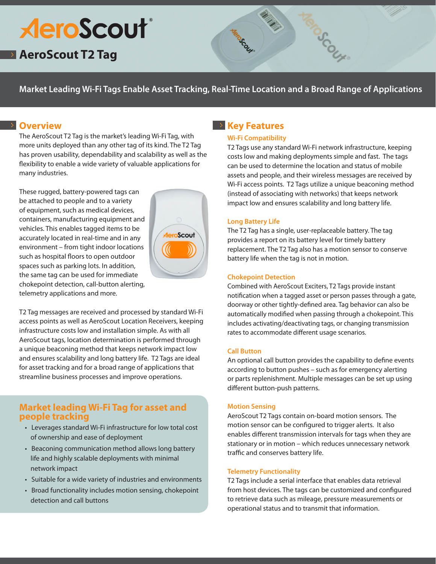# **AeroScout**®

## **AeroScout T2 Tag**

**Market Leading Wi-Fi Tags Enable Asset Tracking, Real-Time Location and a Broad Range of Applications**

## **Overview**

The AeroScout T2 Tag is the market's leading Wi-Fi Tag, with more units deployed than any other tag of its kind. The T2 Tag has proven usability, dependability and scalability as well as the flexibility to enable a wide variety of valuable applications for many industries.

These rugged, battery-powered tags can be attached to people and to a variety of equipment, such as medical devices, containers, manufacturing equipment and vehicles. This enables tagged items to be accurately located in real-time and in any environment – from tight indoor locations such as hospital floors to open outdoor spaces such as parking lots. In addition, the same tag can be used for immediate chokepoint detection, call-button alerting, telemetry applications and more.



T2 Tag messages are received and processed by standard Wi-Fi access points as well as AeroScout Location Receivers, keeping infrastructure costs low and installation simple. As with all AeroScout tags, location determination is performed through a unique beaconing method that keeps network impact low and ensures scalability and long battery life. T2 Tags are ideal for asset tracking and for a broad range of applications that streamline business processes and improve operations.

## **Market leading Wi-Fi Tag for asset and people tracking**

- Leverages standard Wi-Fi infrastructure for low total cost of ownership and ease of deployment
- Beaconing communication method allows long battery life and highly scalable deployments with minimal network impact
- Suitable for a wide variety of industries and environments
- Broad functionality includes motion sensing, chokepoint detection and call buttons

## **Key Features**

#### **Wi-Fi Compatibility**

T2 Tags use any standard Wi-Fi network infrastructure, keeping costs low and making deployments simple and fast. The tags can be used to determine the location and status of mobile assets and people, and their wireless messages are received by Wi-Fi access points. T2 Tags utilize a unique beaconing method (instead of associating with networks) that keeps network impact low and ensures scalability and long battery life.

COUNT

#### **Long Battery Life**

The T2 Tag has a single, user-replaceable battery. The tag provides a report on its battery level for timely battery replacement. The T2 Tag also has a motion sensor to conserve battery life when the tag is not in motion.

#### **Chokepoint Detection**

Combined with AeroScout Exciters, T2 Tags provide instant notification when a tagged asset or person passes through a gate, doorway or other tightly-defined area. Tag behavior can also be automatically modified when passing through a chokepoint. This includes activating/deactivating tags, or changing transmission rates to accommodate different usage scenarios.

#### **Call Button**

An optional call button provides the capability to define events according to button pushes – such as for emergency alerting or parts replenishment. Multiple messages can be set up using different button-push patterns.

#### **Motion Sensing**

AeroScout T2 Tags contain on-board motion sensors. The motion sensor can be configured to trigger alerts. It also enables different transmission intervals for tags when they are stationary or in motion – which reduces unnecessary network traffic and conserves battery life.

#### **Telemetry Functionality**

T2 Tags include a serial interface that enables data retrieval from host devices. The tags can be customized and configured to retrieve data such as mileage, pressure measurements or operational status and to transmit that information.